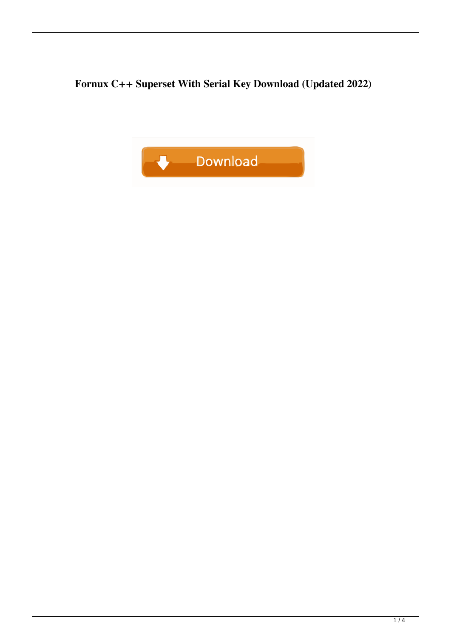**Fornux C++ Superset With Serial Key Download (Updated 2022)**

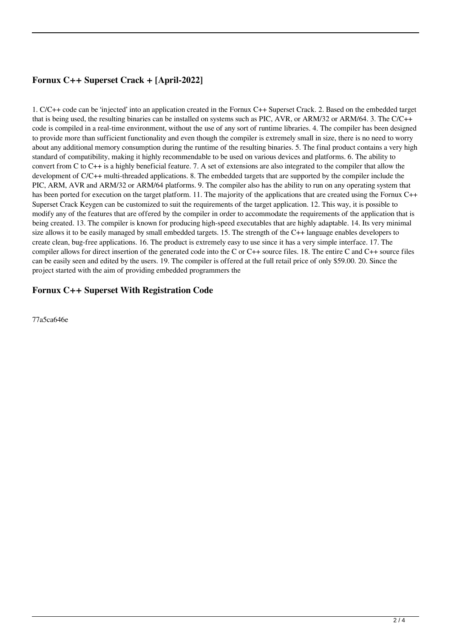# **Fornux C++ Superset Crack + [April-2022]**

1. C/C++ code can be 'injected' into an application created in the Fornux C++ Superset Crack. 2. Based on the embedded target that is being used, the resulting binaries can be installed on systems such as PIC, AVR, or ARM/32 or ARM/64. 3. The C/C++ code is compiled in a real-time environment, without the use of any sort of runtime libraries. 4. The compiler has been designed to provide more than sufficient functionality and even though the compiler is extremely small in size, there is no need to worry about any additional memory consumption during the runtime of the resulting binaries. 5. The final product contains a very high standard of compatibility, making it highly recommendable to be used on various devices and platforms. 6. The ability to convert from C to C++ is a highly beneficial feature. 7. A set of extensions are also integrated to the compiler that allow the development of C/C++ multi-threaded applications. 8. The embedded targets that are supported by the compiler include the PIC, ARM, AVR and ARM/32 or ARM/64 platforms. 9. The compiler also has the ability to run on any operating system that has been ported for execution on the target platform. 11. The majority of the applications that are created using the Fornux C++ Superset Crack Keygen can be customized to suit the requirements of the target application. 12. This way, it is possible to modify any of the features that are offered by the compiler in order to accommodate the requirements of the application that is being created. 13. The compiler is known for producing high-speed executables that are highly adaptable. 14. Its very minimal size allows it to be easily managed by small embedded targets. 15. The strength of the C++ language enables developers to create clean, bug-free applications. 16. The product is extremely easy to use since it has a very simple interface. 17. The compiler allows for direct insertion of the generated code into the C or C++ source files. 18. The entire C and C++ source files can be easily seen and edited by the users. 19. The compiler is offered at the full retail price of only \$59.00. 20. Since the project started with the aim of providing embedded programmers the

### **Fornux C++ Superset With Registration Code**

77a5ca646e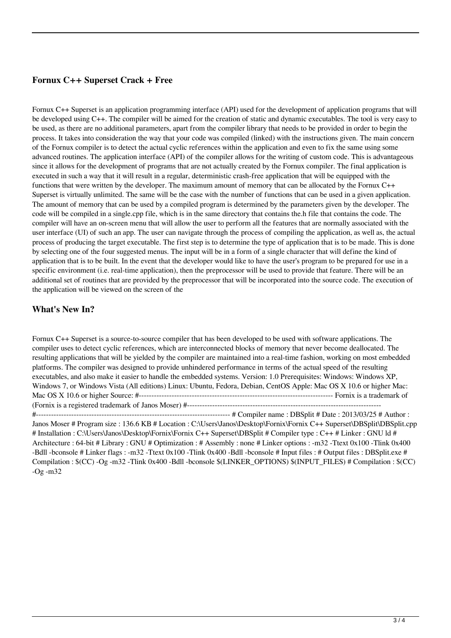### **Fornux C++ Superset Crack + Free**

Fornux C++ Superset is an application programming interface (API) used for the development of application programs that will be developed using C++. The compiler will be aimed for the creation of static and dynamic executables. The tool is very easy to be used, as there are no additional parameters, apart from the compiler library that needs to be provided in order to begin the process. It takes into consideration the way that your code was compiled (linked) with the instructions given. The main concern of the Fornux compiler is to detect the actual cyclic references within the application and even to fix the same using some advanced routines. The application interface (API) of the compiler allows for the writing of custom code. This is advantageous since it allows for the development of programs that are not actually created by the Fornux compiler. The final application is executed in such a way that it will result in a regular, deterministic crash-free application that will be equipped with the functions that were written by the developer. The maximum amount of memory that can be allocated by the Fornux C++ Superset is virtually unlimited. The same will be the case with the number of functions that can be used in a given application. The amount of memory that can be used by a compiled program is determined by the parameters given by the developer. The code will be compiled in a single.cpp file, which is in the same directory that contains the.h file that contains the code. The compiler will have an on-screen menu that will allow the user to perform all the features that are normally associated with the user interface (UI) of such an app. The user can navigate through the process of compiling the application, as well as, the actual process of producing the target executable. The first step is to determine the type of application that is to be made. This is done by selecting one of the four suggested menus. The input will be in a form of a single character that will define the kind of application that is to be built. In the event that the developer would like to have the user's program to be prepared for use in a specific environment (i.e. real-time application), then the preprocessor will be used to provide that feature. There will be an additional set of routines that are provided by the preprocessor that will be incorporated into the source code. The execution of the application will be viewed on the screen of the

#### **What's New In?**

Fornux C++ Superset is a source-to-source compiler that has been developed to be used with software applications. The compiler uses to detect cyclic references, which are interconnected blocks of memory that never become deallocated. The resulting applications that will be yielded by the compiler are maintained into a real-time fashion, working on most embedded platforms. The compiler was designed to provide unhindered performance in terms of the actual speed of the resulting executables, and also make it easier to handle the embedded systems. Version: 1.0 Prerequisites: Windows: Windows XP, Windows 7, or Windows Vista (All editions) Linux: Ubuntu, Fedora, Debian, CentOS Apple: Mac OS X 10.6 or higher Mac: Mac OS X 10.6 or higher Source: #----------------------------------------------------------------------------- Fornix is a trademark of (Fornix is a registered trademark of Janos Moser) #-----------------------------------------------------------------------------

#----------------------------------------------------------------------------- # Compiler name : DBSplit # Date : 2013/03/25 # Author : Janos Moser # Program size : 136.6 KB # Location : C:\Users\Janos\Desktop\Fornix\Fornix C++ Superset\DBSplit\DBSplit.cpp # Installation : C:\Users\Janos\Desktop\Fornix\Fornix C++ Superset\DBSplit # Compiler type : C++ # Linker : GNU ld # Architecture : 64-bit # Library : GNU # Optimization : # Assembly : none # Linker options : -m32 -Ttext 0x100 -Tlink 0x400 -Bdll -bconsole # Linker flags : -m32 -Ttext 0x100 -Tlink 0x400 -Bdll -bconsole # Input files : # Output files : DBSplit.exe # Compilation : \$(CC) -Og -m32 -Tlink 0x400 -Bdll -bconsole \$(LINKER\_OPTIONS) \$(INPUT\_FILES) # Compilation : \$(CC) -Og -m32